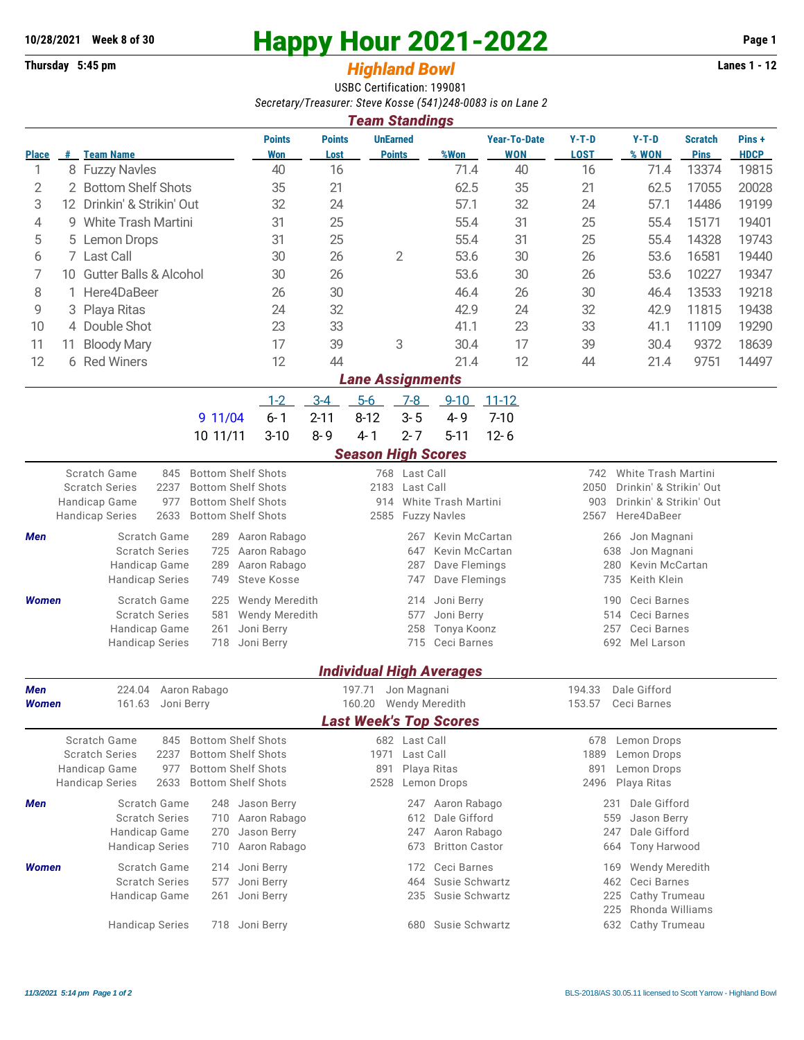## **10/28/2021** Week 8 of 30<br> **Happy Hour 2021-2022** Page 1<br> **Highland Rowl** Lanes 1 - 12

## **Thursday 5:45 pm** *Highland Bowl*

USBC Certification: 199081 *Secretary/Treasurer: Steve Kosse (541)248-0083 is on Lane 2 Team Standings*

| ream Standings                  |                            |                                                                                                                  |                                                |                       |                                              |                                  |                               |                                   |                                             |                             |                               |                      |  |  |
|---------------------------------|----------------------------|------------------------------------------------------------------------------------------------------------------|------------------------------------------------|-----------------------|----------------------------------------------|----------------------------------|-------------------------------|-----------------------------------|---------------------------------------------|-----------------------------|-------------------------------|----------------------|--|--|
| <b>Place</b>                    |                            | # Team Name                                                                                                      | <b>Points</b><br><b>Won</b>                    | <b>Points</b><br>Lost |                                              | <b>UnEarned</b><br><b>Points</b> | %Won                          | <b>Year-To-Date</b><br><b>WON</b> | $Y-T-D$<br><b>LOST</b>                      | $Y-T-D$<br>% WON            | <b>Scratch</b><br><b>Pins</b> | Pins+<br><b>HDCP</b> |  |  |
| 1                               |                            | 8 Fuzzy Navles                                                                                                   | 40                                             | 16                    |                                              |                                  | 71.4                          | 40                                | 16                                          | 71.4                        | 13374                         | 19815                |  |  |
| 2                               |                            | 2 Bottom Shelf Shots                                                                                             | 35                                             | 21                    |                                              |                                  | 62.5                          | 35                                | 21                                          | 62.5                        | 17055                         | 20028                |  |  |
| 3                               | 12 Drinkin' & Strikin' Out |                                                                                                                  | 32                                             | 24                    |                                              | 57.1                             | 32                            | 24                                | 57.1                                        | 14486                       | 19199                         |                      |  |  |
| 4                               | 9.                         | <b>White Trash Martini</b>                                                                                       | 31                                             | 25                    |                                              |                                  | 55.4                          | 31                                | 25                                          | 55.4                        | 15171                         | 19401                |  |  |
| 5                               | <b>Lemon Drops</b><br>5    |                                                                                                                  | 31                                             | 25                    |                                              |                                  |                               | 31                                | 25                                          | 55.4                        | 14328                         | 19743                |  |  |
| 6                               |                            | 7 Last Call                                                                                                      | 30                                             | 26                    |                                              | $\mathbf{2}$                     | 53.6                          | 30                                | 26                                          | 53.6                        | 16581                         | 19440                |  |  |
| 7                               | 10 Gutter Balls & Alcohol  |                                                                                                                  | 30                                             | 26                    |                                              |                                  |                               | 30                                | 26                                          | 53.6                        | 10227                         | 19347                |  |  |
| 8                               | 1.                         | Here4DaBeer                                                                                                      | 26                                             | 30                    |                                              |                                  | 46.4                          | 26                                | 30                                          | 46.4                        | 13533                         | 19218                |  |  |
| 9                               | Playa Ritas<br>З           |                                                                                                                  |                                                | 32                    |                                              |                                  | 42.9                          | 24                                | 32                                          | 42.9                        | 11815                         | 19438                |  |  |
| 10                              |                            | 4 Double Shot                                                                                                    | 24<br>23                                       | 33                    |                                              |                                  |                               | 23                                | 33                                          | 41.1                        | 11109                         | 19290                |  |  |
| 11                              | 11.                        | <b>Bloody Mary</b>                                                                                               | 17                                             | 39                    |                                              | 3                                |                               | 17                                | 39                                          | 30.4                        | 9372                          | 18639                |  |  |
| 12                              |                            | 6 Red Winers<br>12                                                                                               |                                                | 44                    |                                              |                                  | 30.4<br>21.4                  | 12                                | 44                                          | 21.4                        | 9751                          | 14497                |  |  |
| <b>Lane Assignments</b>         |                            |                                                                                                                  |                                                |                       |                                              |                                  |                               |                                   |                                             |                             |                               |                      |  |  |
|                                 |                            |                                                                                                                  | $1 - 2$                                        | $3 - 4$               | $5-6$                                        | $7-8$                            | $9 - 10$                      | $11 - 12$                         |                                             |                             |                               |                      |  |  |
|                                 |                            | 9 11/04                                                                                                          | $6 - 1$                                        | $2 - 11$              | $8 - 12$                                     | $3 - 5$                          | $4 - 9$                       | $7 - 10$                          |                                             |                             |                               |                      |  |  |
|                                 |                            | 10 11/11                                                                                                         | $3 - 10$                                       | $8 - 9$               | $4 - 1$                                      | $2 - 7$                          | $5 - 11$                      | $12 - 6$                          |                                             |                             |                               |                      |  |  |
|                                 |                            |                                                                                                                  |                                                |                       | <b>Season High Scores</b>                    |                                  |                               |                                   |                                             |                             |                               |                      |  |  |
|                                 |                            | <b>Bottom Shelf Shots</b><br>Scratch Game<br>845                                                                 |                                                |                       |                                              | 768 Last Call                    |                               |                                   | 742                                         | <b>White Trash Martini</b>  |                               |                      |  |  |
|                                 |                            | 2237<br><b>Bottom Shelf Shots</b><br><b>Scratch Series</b>                                                       |                                                | Last Call<br>2183     |                                              |                                  |                               |                                   | 2050<br>Drinkin' & Strikin' Out             |                             |                               |                      |  |  |
|                                 |                            | <b>Bottom Shelf Shots</b><br>Handicap Game<br>977                                                                |                                                |                       | White Trash Martini<br>914                   |                                  |                               |                                   | Drinkin' & Strikin' Out<br>903              |                             |                               |                      |  |  |
|                                 |                            | 2633<br><b>Bottom Shelf Shots</b><br><b>Handicap Series</b>                                                      |                                                |                       | 2585                                         |                                  | <b>Fuzzy Navles</b>           |                                   | 2567                                        | Here4DaBeer                 |                               |                      |  |  |
| Men                             |                            | Scratch Game<br>289                                                                                              | Aaron Rabago                                   |                       |                                              | 267                              | Kevin McCartan                |                                   | 266<br>Jon Magnani                          |                             |                               |                      |  |  |
|                                 |                            | <b>Scratch Series</b><br>725                                                                                     | Aaron Rabago                                   |                       | 647                                          | Kevin McCartan                   |                               | 638<br>Jon Magnani                |                                             |                             |                               |                      |  |  |
|                                 |                            | 289<br>Handicap Game<br><b>Handicap Series</b><br>749                                                            | Aaron Rabago<br><b>Steve Kosse</b>             |                       | Dave Flemings<br>287<br>Dave Flemings<br>747 |                                  |                               |                                   | Kevin McCartan<br>280<br>Keith Klein<br>735 |                             |                               |                      |  |  |
|                                 |                            |                                                                                                                  |                                                |                       |                                              |                                  |                               |                                   |                                             |                             |                               |                      |  |  |
| <b>Women</b>                    |                            | Scratch Game<br>225<br><b>Scratch Series</b>                                                                     | <b>Wendy Meredith</b><br><b>Wendy Meredith</b> |                       | Joni Berry<br>214<br>Joni Berry<br>577       |                                  |                               |                                   | Ceci Barnes<br>190<br>Ceci Barnes<br>514    |                             |                               |                      |  |  |
|                                 |                            | 581<br>Handicap Game<br>261                                                                                      | Joni Berry                                     |                       |                                              | 258                              | Tonya Koonz                   |                                   | 257                                         | Ceci Barnes                 |                               |                      |  |  |
|                                 |                            | <b>Handicap Series</b><br>718                                                                                    | Joni Berry                                     |                       | 715 Ceci Barnes                              |                                  |                               |                                   | 692 Mel Larson                              |                             |                               |                      |  |  |
| <b>Individual High Averages</b> |                            |                                                                                                                  |                                                |                       |                                              |                                  |                               |                                   |                                             |                             |                               |                      |  |  |
| Men                             |                            | 224.04<br>Aaron Rabago                                                                                           |                                                |                       | 197.71                                       | Jon Magnani                      |                               |                                   | 194.33                                      | Dale Gifford                |                               |                      |  |  |
| Women                           |                            | 161.63<br>Joni Berry                                                                                             |                                                |                       | 160.20                                       | <b>Wendy Meredith</b>            |                               |                                   | 153.57                                      | Ceci Barnes                 |                               |                      |  |  |
|                                 |                            |                                                                                                                  |                                                |                       |                                              |                                  | <b>Last Week's Top Scores</b> |                                   |                                             |                             |                               |                      |  |  |
|                                 |                            | Scratch Game<br><b>Bottom Shelf Shots</b><br>845                                                                 |                                                |                       | 682 Last Call                                |                                  |                               | 678                               |                                             | Lemon Drops                 |                               |                      |  |  |
|                                 |                            | <b>Scratch Series</b><br>2237<br><b>Bottom Shelf Shots</b>                                                       |                                                | 1971 Last Call        |                                              |                                  |                               | 1889<br>Lemon Drops               |                                             |                             |                               |                      |  |  |
|                                 |                            | <b>Bottom Shelf Shots</b><br>Handicap Game<br>977<br><b>Bottom Shelf Shots</b><br><b>Handicap Series</b><br>2633 |                                                |                       | Playa Ritas<br>891<br>Lemon Drops<br>2528    |                                  |                               |                                   | 2496                                        | 891<br>Lemon Drops          |                               |                      |  |  |
|                                 |                            |                                                                                                                  |                                                |                       |                                              |                                  |                               |                                   |                                             | Playa Ritas                 |                               |                      |  |  |
| Men                             |                            | Scratch Game<br><b>Scratch Series</b>                                                                            | 248 Jason Berry<br>710 Aaron Rabago            |                       |                                              | 247<br>612                       | Aaron Rabago<br>Dale Gifford  |                                   | 231<br>559                                  | Dale Gifford<br>Jason Berry |                               |                      |  |  |
|                                 |                            | Handicap Game<br>270                                                                                             | Jason Berry                                    |                       |                                              | 247                              | Aaron Rabago                  |                                   | 247                                         | Dale Gifford                |                               |                      |  |  |
|                                 |                            | <b>Handicap Series</b><br>Aaron Rabago<br>710                                                                    |                                                |                       | 673                                          | <b>Britton Castor</b>            |                               | <b>Tony Harwood</b><br>664        |                                             |                             |                               |                      |  |  |
| <b>Women</b>                    |                            | Scratch Game<br>214                                                                                              | Joni Berry                                     |                       |                                              | 172                              | Ceci Barnes                   |                                   | 169                                         | Wendy Meredith              |                               |                      |  |  |
|                                 |                            | <b>Scratch Series</b><br>577                                                                                     | Joni Berry                                     |                       |                                              | 464                              | Susie Schwartz                |                                   | 462                                         | Ceci Barnes                 |                               |                      |  |  |
|                                 |                            | Handicap Game<br>261                                                                                             | Joni Berry                                     |                       |                                              | 235                              | Susie Schwartz                |                                   | 225<br>Cathy Trumeau                        |                             |                               |                      |  |  |
|                                 |                            |                                                                                                                  |                                                |                       |                                              |                                  |                               |                                   | 225                                         | Rhonda Williams             |                               |                      |  |  |
|                                 |                            | <b>Handicap Series</b><br>718                                                                                    | Joni Berry                                     |                       |                                              |                                  | 680 Susie Schwartz            |                                   | Cathy Trumeau<br>632                        |                             |                               |                      |  |  |